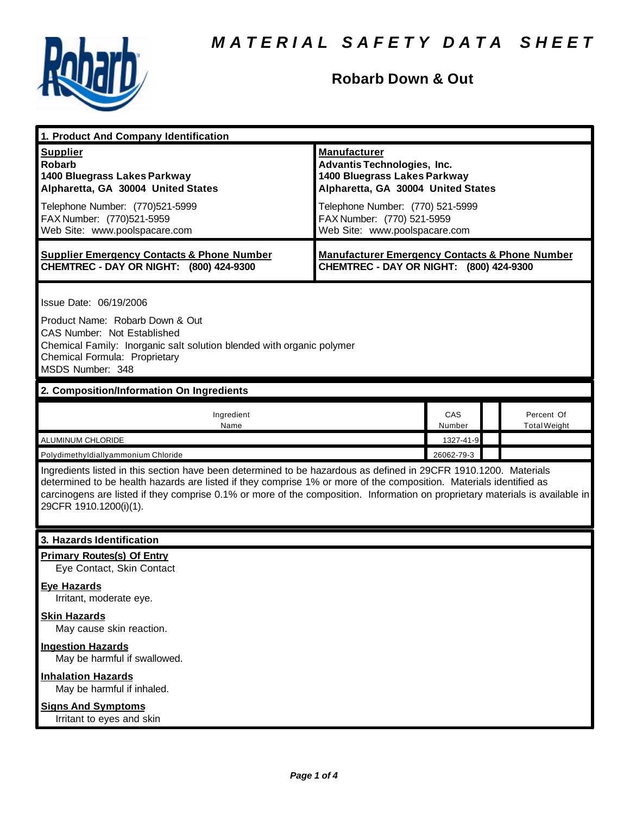

## **Robarb Down & Out**

| 1. Product And Company Identification                                                                                                                                                                                                                                                                                                                                                             |                                                                                                                                                                                                                                    |               |                                   |  |
|---------------------------------------------------------------------------------------------------------------------------------------------------------------------------------------------------------------------------------------------------------------------------------------------------------------------------------------------------------------------------------------------------|------------------------------------------------------------------------------------------------------------------------------------------------------------------------------------------------------------------------------------|---------------|-----------------------------------|--|
| <b>Supplier</b><br><b>Robarb</b><br>1400 Bluegrass Lakes Parkway<br>Alpharetta, GA 30004 United States<br>Telephone Number: (770)521-5999<br>FAX Number: (770)521-5959<br>Web Site: www.poolspacare.com                                                                                                                                                                                           | <b>Manufacturer</b><br><b>Advantis Technologies, Inc.</b><br>1400 Bluegrass Lakes Parkway<br>Alpharetta, GA 30004 United States<br>Telephone Number: (770) 521-5999<br>FAX Number: (770) 521-5959<br>Web Site: www.poolspacare.com |               |                                   |  |
| <b>Supplier Emergency Contacts &amp; Phone Number</b><br>CHEMTREC - DAY OR NIGHT: (800) 424-9300                                                                                                                                                                                                                                                                                                  | <b>Manufacturer Emergency Contacts &amp; Phone Number</b><br>CHEMTREC - DAY OR NIGHT: (800) 424-9300                                                                                                                               |               |                                   |  |
| Issue Date: 06/19/2006<br>Product Name: Robarb Down & Out<br><b>CAS Number: Not Established</b><br>Chemical Family: Inorganic salt solution blended with organic polymer<br>Chemical Formula: Proprietary<br>MSDS Number: 348                                                                                                                                                                     |                                                                                                                                                                                                                                    |               |                                   |  |
| 2. Composition/Information On Ingredients                                                                                                                                                                                                                                                                                                                                                         |                                                                                                                                                                                                                                    |               |                                   |  |
| Ingredient<br>Name                                                                                                                                                                                                                                                                                                                                                                                |                                                                                                                                                                                                                                    | CAS<br>Number | Percent Of<br><b>Total Weight</b> |  |
| ALUMINUM CHLORIDE<br>1327-41-9                                                                                                                                                                                                                                                                                                                                                                    |                                                                                                                                                                                                                                    |               |                                   |  |
| 26062-79-3<br>Polydimethyldiallyammonium Chloride                                                                                                                                                                                                                                                                                                                                                 |                                                                                                                                                                                                                                    |               |                                   |  |
| Ingredients listed in this section have been determined to be hazardous as defined in 29CFR 1910.1200. Materials<br>determined to be health hazards are listed if they comprise 1% or more of the composition. Materials identified as<br>carcinogens are listed if they comprise 0.1% or more of the composition. Information on proprietary materials is available in<br>29CFR 1910.1200(i)(1). |                                                                                                                                                                                                                                    |               |                                   |  |
| 3. Hazards Identification                                                                                                                                                                                                                                                                                                                                                                         |                                                                                                                                                                                                                                    |               |                                   |  |
| <b>Primary Routes(s) Of Entry</b><br>Eye Contact, Skin Contact<br><b>Eye Hazards</b><br>Irritant, moderate eye.<br><b>Skin Hazards</b><br>May cause skin reaction.<br><b>Ingestion Hazards</b><br>May be harmful if swallowed.                                                                                                                                                                    |                                                                                                                                                                                                                                    |               |                                   |  |
| <b>Inhalation Hazards</b><br>May be harmful if inhaled.<br><b>Signs And Symptoms</b><br>Irritant to eyes and skin                                                                                                                                                                                                                                                                                 |                                                                                                                                                                                                                                    |               |                                   |  |
|                                                                                                                                                                                                                                                                                                                                                                                                   |                                                                                                                                                                                                                                    |               |                                   |  |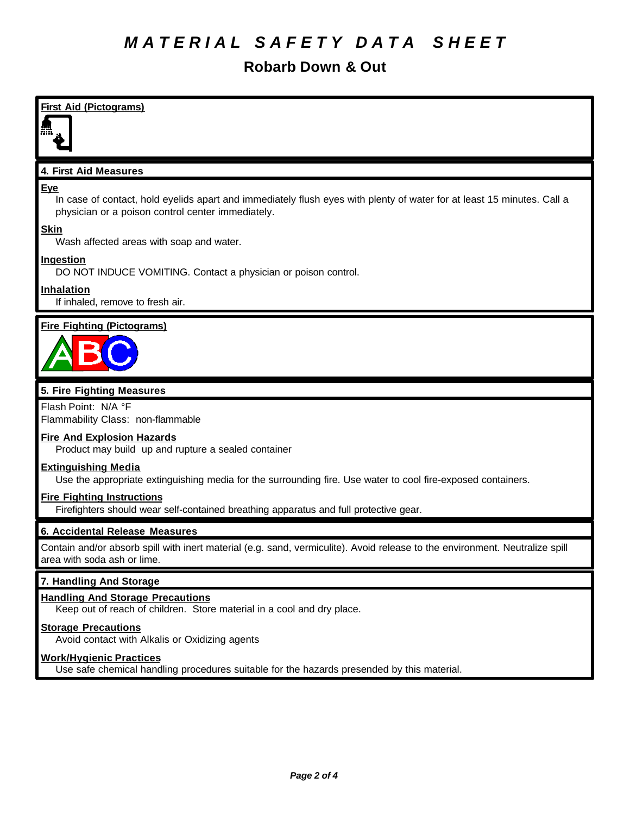# *M A T E R I A L S A F E T Y D A T A S H E E T*

## **Robarb Down & Out**

| <b>First Aid (Pictograms)</b>                                                                                                                                                      |  |
|------------------------------------------------------------------------------------------------------------------------------------------------------------------------------------|--|
| 4. First Aid Measures                                                                                                                                                              |  |
| Eye<br>In case of contact, hold eyelids apart and immediately flush eyes with plenty of water for at least 15 minutes. Call a<br>physician or a poison control center immediately. |  |
| <b>Skin</b><br>Wash affected areas with soap and water.                                                                                                                            |  |
| Ingestion<br>DO NOT INDUCE VOMITING. Contact a physician or poison control.                                                                                                        |  |
| Inhalation<br>If inhaled, remove to fresh air.                                                                                                                                     |  |
| <b>Fire Fighting (Pictograms)</b>                                                                                                                                                  |  |
| 5. Fire Fighting Measures                                                                                                                                                          |  |
| Flash Point: N/A °F<br>Flammability Class: non-flammable                                                                                                                           |  |
| <b>Fire And Explosion Hazards</b><br>Product may build up and rupture a sealed container                                                                                           |  |
| <b>Extinguishing Media</b><br>Use the appropriate extinguishing media for the surrounding fire. Use water to cool fire-exposed containers.                                         |  |

#### **Fire Fighting Instructions**

Firefighters should wear self-contained breathing apparatus and full protective gear.

### **6. Accidental Release Measures**

Contain and/or absorb spill with inert material (e.g. sand, vermiculite). Avoid release to the environment. Neutralize spill area with soda ash or lime.

#### **7. Handling And Storage**

### **Handling And Storage Precautions**

Keep out of reach of children. Store material in a cool and dry place.

### **Storage Precautions**

Avoid contact with Alkalis or Oxidizing agents

#### **Work/Hygienic Practices**

Use safe chemical handling procedures suitable for the hazards presended by this material.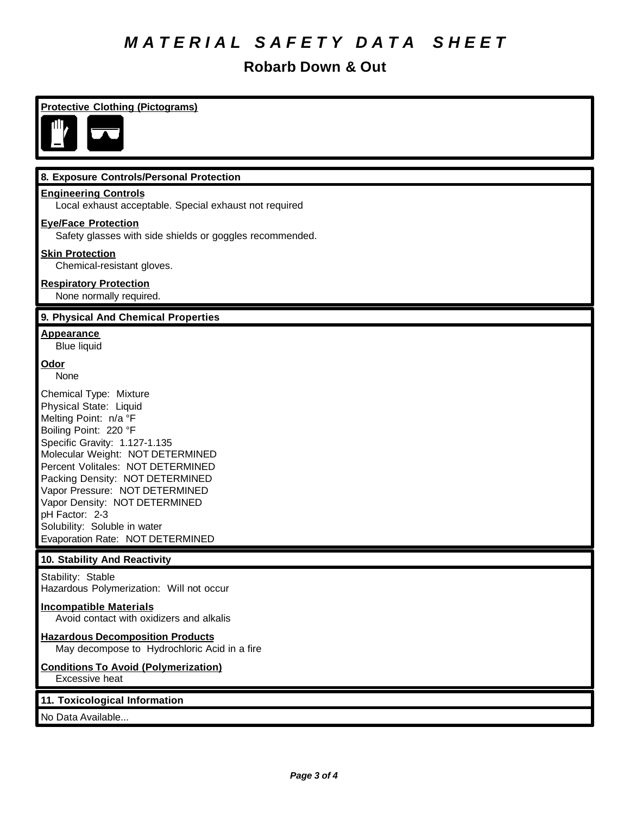# *M A T E R I A L S A F E T Y D A T A S H E E T*

## **Robarb Down & Out**

| <b>Protective Clothing (Pictograms)</b>                                                                                                                                                                                                                                                                                                                                                                  |  |  |
|----------------------------------------------------------------------------------------------------------------------------------------------------------------------------------------------------------------------------------------------------------------------------------------------------------------------------------------------------------------------------------------------------------|--|--|
|                                                                                                                                                                                                                                                                                                                                                                                                          |  |  |
| 8. Exposure Controls/Personal Protection                                                                                                                                                                                                                                                                                                                                                                 |  |  |
| <b>Engineering Controls</b><br>Local exhaust acceptable. Special exhaust not required                                                                                                                                                                                                                                                                                                                    |  |  |
| <b>Eye/Face Protection</b><br>Safety glasses with side shields or goggles recommended.                                                                                                                                                                                                                                                                                                                   |  |  |
| <b>Skin Protection</b><br>Chemical-resistant gloves.                                                                                                                                                                                                                                                                                                                                                     |  |  |
| <b>Respiratory Protection</b><br>None normally required.                                                                                                                                                                                                                                                                                                                                                 |  |  |
| 9. Physical And Chemical Properties                                                                                                                                                                                                                                                                                                                                                                      |  |  |
| <b>Appearance</b><br><b>Blue liquid</b>                                                                                                                                                                                                                                                                                                                                                                  |  |  |
| <b>Odor</b><br>None                                                                                                                                                                                                                                                                                                                                                                                      |  |  |
| Chemical Type: Mixture<br>Physical State: Liquid<br>Melting Point: n/a °F<br>Boiling Point: 220 °F<br>Specific Gravity: 1.127-1.135<br>Molecular Weight: NOT DETERMINED<br>Percent Volitales: NOT DETERMINED<br>Packing Density: NOT DETERMINED<br>Vapor Pressure: NOT DETERMINED<br>Vapor Density: NOT DETERMINED<br>pH Factor: 2-3<br>Solubility: Soluble in water<br>Evaporation Rate: NOT DETERMINED |  |  |
| 10. Stability And Reactivity                                                                                                                                                                                                                                                                                                                                                                             |  |  |
| Stability: Stable<br>Hazardous Polymerization: Will not occur                                                                                                                                                                                                                                                                                                                                            |  |  |
| <b>Incompatible Materials</b><br>Avoid contact with oxidizers and alkalis                                                                                                                                                                                                                                                                                                                                |  |  |
| <b>Hazardous Decomposition Products</b><br>May decompose to Hydrochloric Acid in a fire                                                                                                                                                                                                                                                                                                                  |  |  |
| <b>Conditions To Avoid (Polymerization)</b><br>Excessive heat                                                                                                                                                                                                                                                                                                                                            |  |  |
| 11. Toxicological Information                                                                                                                                                                                                                                                                                                                                                                            |  |  |
| No Data Available                                                                                                                                                                                                                                                                                                                                                                                        |  |  |